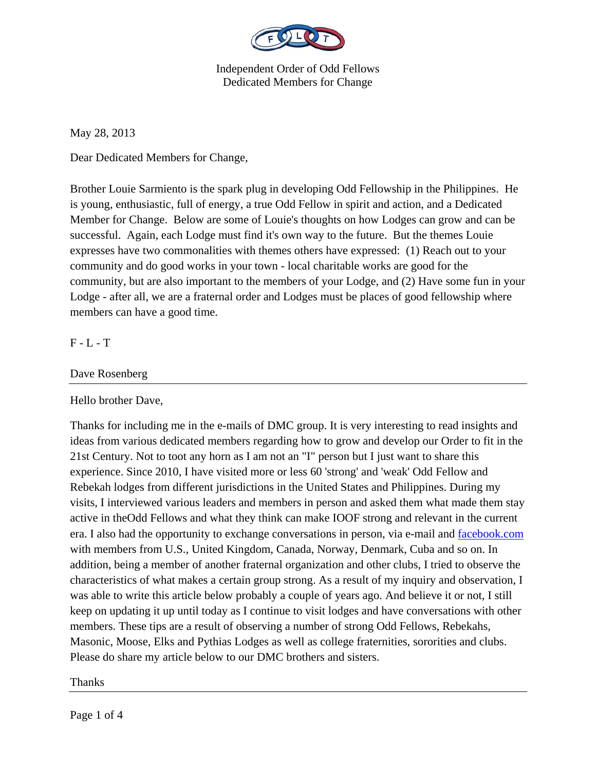

May 28, 2013

Dear Dedicated Members for Change,

Brother Louie Sarmiento is the spark plug in developing Odd Fellowship in the Philippines. He is young, enthusiastic, full of energy, a true Odd Fellow in spirit and action, and a Dedicated Member for Change. Below are some of Louie's thoughts on how Lodges can grow and can be successful. Again, each Lodge must find it's own way to the future. But the themes Louie expresses have two commonalities with themes others have expressed: (1) Reach out to your community and do good works in your town - local charitable works are good for the community, but are also important to the members of your Lodge, and (2) Have some fun in your Lodge - after all, we are a fraternal order and Lodges must be places of good fellowship where members can have a good time.

## F - L - T

## Dave Rosenberg

Hello brother Dave,

Thanks for including me in the e-mails of DMC group. It is very interesting to read insights and ideas from various dedicated members regarding how to grow and develop our Order to fit in the 21st Century. Not to toot any horn as I am not an "I" person but I just want to share this experience. Since 2010, I have visited more or less 60 'strong' and 'weak' Odd Fellow and Rebekah lodges from different jurisdictions in the United States and Philippines. During my visits, I interviewed various leaders and members in person and asked them what made them stay active in theOdd Fellows and what they think can make IOOF strong and relevant in the current era. I also had the opportunity to exchange conversations in person, via e-mail and facebook.com with members from U.S., United Kingdom, Canada, Norway, Denmark, Cuba and so on. In addition, being a member of another fraternal organization and other clubs, I tried to observe the characteristics of what makes a certain group strong. As a result of my inquiry and observation, I was able to write this article below probably a couple of years ago. And believe it or not, I still keep on updating it up until today as I continue to visit lodges and have conversations with other members. These tips are a result of observing a number of strong Odd Fellows, Rebekahs, Masonic, Moose, Elks and Pythias Lodges as well as college fraternities, sororities and clubs. Please do share my article below to our DMC brothers and sisters.

Thanks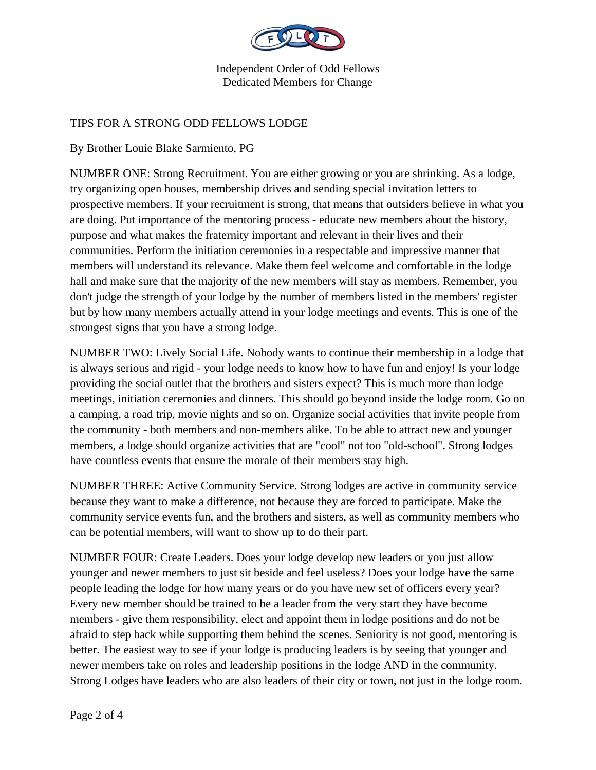

## TIPS FOR A STRONG ODD FELLOWS LODGE

By Brother Louie Blake Sarmiento, PG

NUMBER ONE: Strong Recruitment. You are either growing or you are shrinking. As a lodge, try organizing open houses, membership drives and sending special invitation letters to prospective members. If your recruitment is strong, that means that outsiders believe in what you are doing. Put importance of the mentoring process - educate new members about the history, purpose and what makes the fraternity important and relevant in their lives and their communities. Perform the initiation ceremonies in a respectable and impressive manner that members will understand its relevance. Make them feel welcome and comfortable in the lodge hall and make sure that the majority of the new members will stay as members. Remember, you don't judge the strength of your lodge by the number of members listed in the members' register but by how many members actually attend in your lodge meetings and events. This is one of the strongest signs that you have a strong lodge.

NUMBER TWO: Lively Social Life. Nobody wants to continue their membership in a lodge that is always serious and rigid - your lodge needs to know how to have fun and enjoy! Is your lodge providing the social outlet that the brothers and sisters expect? This is much more than lodge meetings, initiation ceremonies and dinners. This should go beyond inside the lodge room. Go on a camping, a road trip, movie nights and so on. Organize social activities that invite people from the community - both members and non-members alike. To be able to attract new and younger members, a lodge should organize activities that are "cool" not too "old-school". Strong lodges have countless events that ensure the morale of their members stay high.

NUMBER THREE: Active Community Service. Strong lodges are active in community service because they want to make a difference, not because they are forced to participate. Make the community service events fun, and the brothers and sisters, as well as community members who can be potential members, will want to show up to do their part.

NUMBER FOUR: Create Leaders. Does your lodge develop new leaders or you just allow younger and newer members to just sit beside and feel useless? Does your lodge have the same people leading the lodge for how many years or do you have new set of officers every year? Every new member should be trained to be a leader from the very start they have become members - give them responsibility, elect and appoint them in lodge positions and do not be afraid to step back while supporting them behind the scenes. Seniority is not good, mentoring is better. The easiest way to see if your lodge is producing leaders is by seeing that younger and newer members take on roles and leadership positions in the lodge AND in the community. Strong Lodges have leaders who are also leaders of their city or town, not just in the lodge room.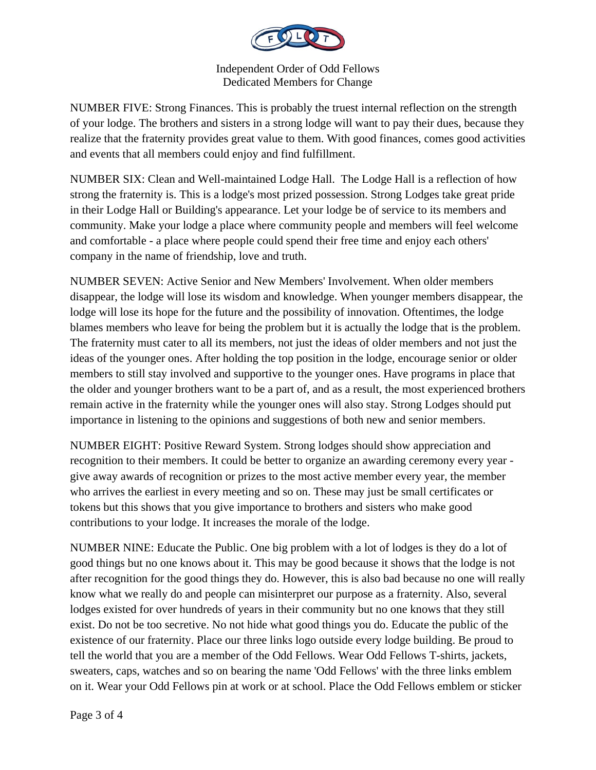

NUMBER FIVE: Strong Finances. This is probably the truest internal reflection on the strength of your lodge. The brothers and sisters in a strong lodge will want to pay their dues, because they realize that the fraternity provides great value to them. With good finances, comes good activities and events that all members could enjoy and find fulfillment.

NUMBER SIX: Clean and Well-maintained Lodge Hall. The Lodge Hall is a reflection of how strong the fraternity is. This is a lodge's most prized possession. Strong Lodges take great pride in their Lodge Hall or Building's appearance. Let your lodge be of service to its members and community. Make your lodge a place where community people and members will feel welcome and comfortable - a place where people could spend their free time and enjoy each others' company in the name of friendship, love and truth.

NUMBER SEVEN: Active Senior and New Members' Involvement. When older members disappear, the lodge will lose its wisdom and knowledge. When younger members disappear, the lodge will lose its hope for the future and the possibility of innovation. Oftentimes, the lodge blames members who leave for being the problem but it is actually the lodge that is the problem. The fraternity must cater to all its members, not just the ideas of older members and not just the ideas of the younger ones. After holding the top position in the lodge, encourage senior or older members to still stay involved and supportive to the younger ones. Have programs in place that the older and younger brothers want to be a part of, and as a result, the most experienced brothers remain active in the fraternity while the younger ones will also stay. Strong Lodges should put importance in listening to the opinions and suggestions of both new and senior members.

NUMBER EIGHT: Positive Reward System. Strong lodges should show appreciation and recognition to their members. It could be better to organize an awarding ceremony every year give away awards of recognition or prizes to the most active member every year, the member who arrives the earliest in every meeting and so on. These may just be small certificates or tokens but this shows that you give importance to brothers and sisters who make good contributions to your lodge. It increases the morale of the lodge.

NUMBER NINE: Educate the Public. One big problem with a lot of lodges is they do a lot of good things but no one knows about it. This may be good because it shows that the lodge is not after recognition for the good things they do. However, this is also bad because no one will really know what we really do and people can misinterpret our purpose as a fraternity. Also, several lodges existed for over hundreds of years in their community but no one knows that they still exist. Do not be too secretive. No not hide what good things you do. Educate the public of the existence of our fraternity. Place our three links logo outside every lodge building. Be proud to tell the world that you are a member of the Odd Fellows. Wear Odd Fellows T-shirts, jackets, sweaters, caps, watches and so on bearing the name 'Odd Fellows' with the three links emblem on it. Wear your Odd Fellows pin at work or at school. Place the Odd Fellows emblem or sticker